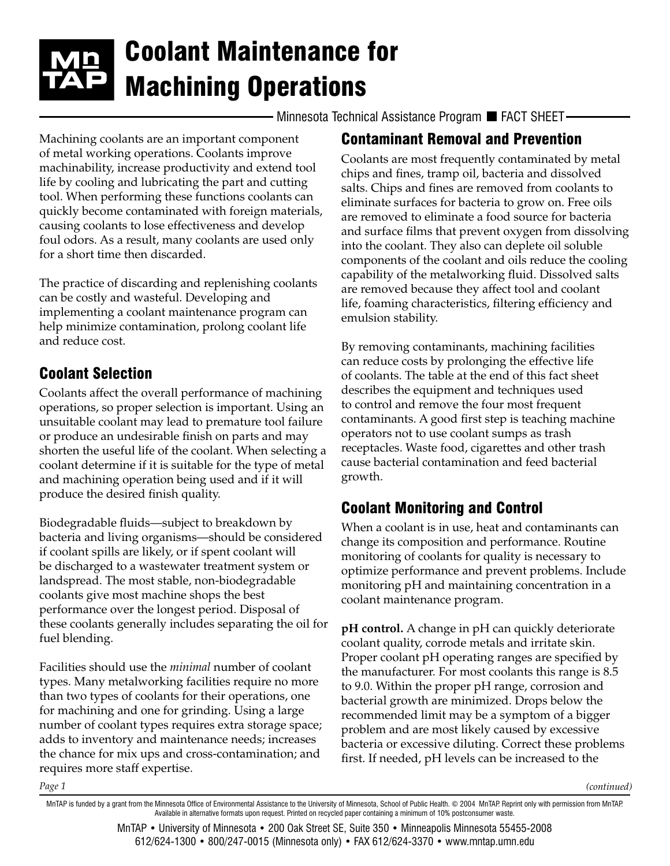# Coolant Maintenance for Machining Operations

 $\cdot$  Minnesota Technical Assistance Program  $\blacksquare$  FACT SHEET-

Machining coolants are an important component of metal working operations. Coolants improve machinability, increase productivity and extend tool life by cooling and lubricating the part and cutting tool. When performing these functions coolants can quickly become contaminated with foreign materials, causing coolants to lose effectiveness and develop foul odors. As a result, many coolants are used only for a short time then discarded.

The practice of discarding and replenishing coolants can be costly and wasteful. Developing and implementing a coolant maintenance program can help minimize contamination, prolong coolant life and reduce cost.

## Coolant Selection

*Page 1*

Coolants affect the overall performance of machining operations, so proper selection is important. Using an unsuitable coolant may lead to premature tool failure or produce an undesirable finish on parts and may shorten the useful life of the coolant. When selecting a coolant determine if it is suitable for the type of metal and machining operation being used and if it will produce the desired finish quality.

Biodegradable fluids—subject to breakdown by bacteria and living organisms—should be considered if coolant spills are likely, or if spent coolant will be discharged to a wastewater treatment system or landspread. The most stable, non-biodegradable coolants give most machine shops the best performance over the longest period. Disposal of these coolants generally includes separating the oil for fuel blending.

Facilities should use the *minimal* number of coolant types. Many metalworking facilities require no more than two types of coolants for their operations, one for machining and one for grinding. Using a large number of coolant types requires extra storage space; adds to inventory and maintenance needs; increases the chance for mix ups and cross-contamination; and requires more staff expertise.

## Contaminant Removal and Prevention

Coolants are most frequently contaminated by metal chips and fines, tramp oil, bacteria and dissolved salts. Chips and fines are removed from coolants to eliminate surfaces for bacteria to grow on. Free oils are removed to eliminate a food source for bacteria and surface films that prevent oxygen from dissolving into the coolant. They also can deplete oil soluble components of the coolant and oils reduce the cooling capability of the metalworking fluid. Dissolved salts are removed because they affect tool and coolant life, foaming characteristics, filtering efficiency and emulsion stability.

By removing contaminants, machining facilities can reduce costs by prolonging the effective life of coolants. The table at the end of this fact sheet describes the equipment and techniques used to control and remove the four most frequent contaminants. A good first step is teaching machine operators not to use coolant sumps as trash receptacles. Waste food, cigarettes and other trash cause bacterial contamination and feed bacterial growth.

## Coolant Monitoring and Control

When a coolant is in use, heat and contaminants can change its composition and performance. Routine monitoring of coolants for quality is necessary to optimize performance and prevent problems. Include monitoring pH and maintaining concentration in a coolant maintenance program.

**pH control.** A change in pH can quickly deteriorate coolant quality, corrode metals and irritate skin. Proper coolant pH operating ranges are specified by the manufacturer. For most coolants this range is 8.5 to 9.0. Within the proper pH range, corrosion and bacterial growth are minimized. Drops below the recommended limit may be a symptom of a bigger problem and are most likely caused by excessive bacteria or excessive diluting. Correct these problems first. If needed, pH levels can be increased to the

*(continued)*

MnTAP • University of Minnesota • 200 Oak Street SE, Suite 350 • Minneapolis Minnesota 55455-2008 612/624-1300 • 800/247-0015 (Minnesota only) • FAX 612/624-3370 • [www.mntap.umn.edu](http://www.mntap.umn.edu)

MnTAP is funded by a grant from the Minnesota Office of Environmental Assistance to the University of Minnesota, School of Public Health. © 2004 MnTAP. Reprint only with permission from MnTAP. Available in alternative formats upon request. Printed on recycled paper containing a minimum of 10% postconsumer waste.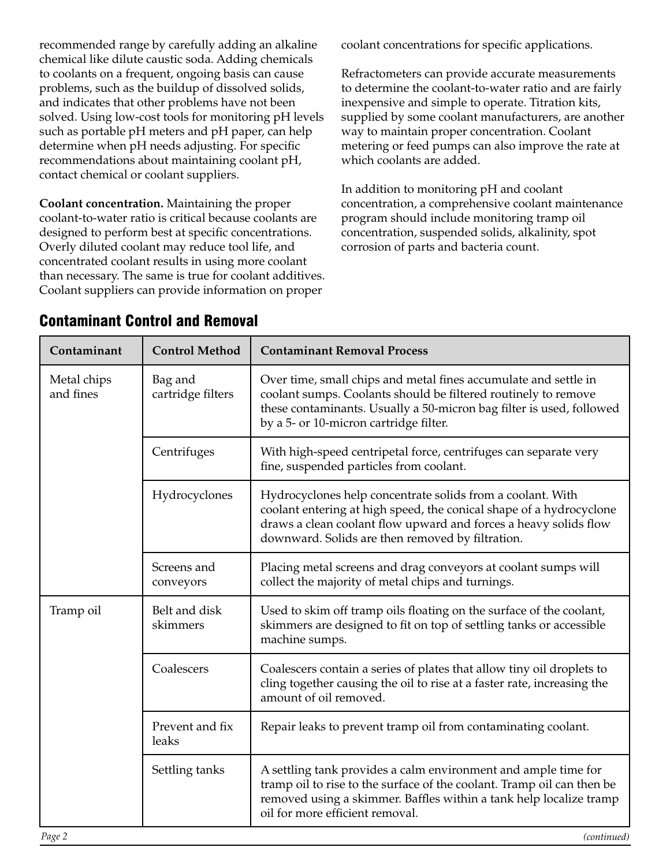recommended range by carefully adding an alkaline chemical like dilute caustic soda. Adding chemicals to coolants on a frequent, ongoing basis can cause problems, such as the buildup of dissolved solids, and indicates that other problems have not been solved. Using low-cost tools for monitoring pH levels such as portable pH meters and pH paper, can help determine when pH needs adjusting. For specific recommendations about maintaining coolant pH, contact chemical or coolant suppliers.

**Coolant concentration.** Maintaining the proper coolant-to-water ratio is critical because coolants are designed to perform best at specific concentrations. Overly diluted coolant may reduce tool life, and concentrated coolant results in using more coolant than necessary. The same is true for coolant additives. Coolant suppliers can provide information on proper

coolant concentrations for specific applications.

Refractometers can provide accurate measurements to determine the coolant-to-water ratio and are fairly inexpensive and simple to operate. Titration kits, supplied by some coolant manufacturers, are another way to maintain proper concentration. Coolant metering or feed pumps can also improve the rate at which coolants are added.

In addition to monitoring pH and coolant concentration, a comprehensive coolant maintenance program should include monitoring tramp oil concentration, suspended solids, alkalinity, spot corrosion of parts and bacteria count.

| Contaminant              | <b>Control Method</b>        | <b>Contaminant Removal Process</b>                                                                                                                                                                                                                        |
|--------------------------|------------------------------|-----------------------------------------------------------------------------------------------------------------------------------------------------------------------------------------------------------------------------------------------------------|
| Metal chips<br>and fines | Bag and<br>cartridge filters | Over time, small chips and metal fines accumulate and settle in<br>coolant sumps. Coolants should be filtered routinely to remove<br>these contaminants. Usually a 50-micron bag filter is used, followed<br>by a 5- or 10-micron cartridge filter.       |
|                          | Centrifuges                  | With high-speed centripetal force, centrifuges can separate very<br>fine, suspended particles from coolant.                                                                                                                                               |
|                          | Hydrocyclones                | Hydrocyclones help concentrate solids from a coolant. With<br>coolant entering at high speed, the conical shape of a hydrocyclone<br>draws a clean coolant flow upward and forces a heavy solids flow<br>downward. Solids are then removed by filtration. |
|                          | Screens and<br>conveyors     | Placing metal screens and drag conveyors at coolant sumps will<br>collect the majority of metal chips and turnings.                                                                                                                                       |
| Tramp oil                | Belt and disk<br>skimmers    | Used to skim off tramp oils floating on the surface of the coolant,<br>skimmers are designed to fit on top of settling tanks or accessible<br>machine sumps.                                                                                              |
|                          | Coalescers                   | Coalescers contain a series of plates that allow tiny oil droplets to<br>cling together causing the oil to rise at a faster rate, increasing the<br>amount of oil removed.                                                                                |
|                          | Prevent and fix<br>leaks     | Repair leaks to prevent tramp oil from contaminating coolant.                                                                                                                                                                                             |
|                          | Settling tanks               | A settling tank provides a calm environment and ample time for<br>tramp oil to rise to the surface of the coolant. Tramp oil can then be<br>removed using a skimmer. Baffles within a tank help localize tramp<br>oil for more efficient removal.         |

#### Contaminant Control and Removal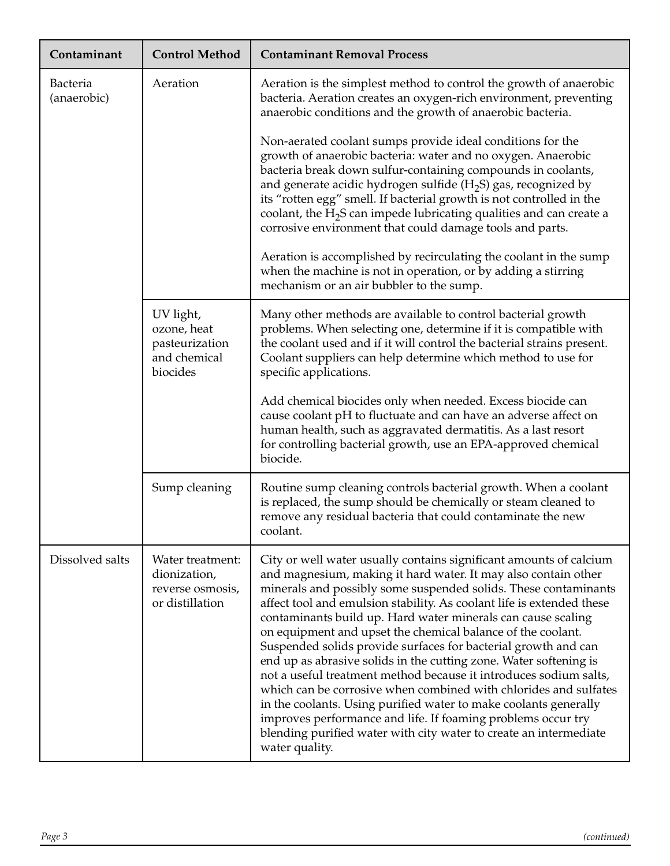| Contaminant             | <b>Control Method</b>                                                   | <b>Contaminant Removal Process</b>                                                                                                                                                                                                                                                                                                                                                                                                                                                                                                                                                                                                                                                                                                                                                                                                                                                                                         |
|-------------------------|-------------------------------------------------------------------------|----------------------------------------------------------------------------------------------------------------------------------------------------------------------------------------------------------------------------------------------------------------------------------------------------------------------------------------------------------------------------------------------------------------------------------------------------------------------------------------------------------------------------------------------------------------------------------------------------------------------------------------------------------------------------------------------------------------------------------------------------------------------------------------------------------------------------------------------------------------------------------------------------------------------------|
| Bacteria<br>(anaerobic) | Aeration                                                                | Aeration is the simplest method to control the growth of anaerobic<br>bacteria. Aeration creates an oxygen-rich environment, preventing<br>anaerobic conditions and the growth of anaerobic bacteria.                                                                                                                                                                                                                                                                                                                                                                                                                                                                                                                                                                                                                                                                                                                      |
|                         |                                                                         | Non-aerated coolant sumps provide ideal conditions for the<br>growth of anaerobic bacteria: water and no oxygen. Anaerobic<br>bacteria break down sulfur-containing compounds in coolants,<br>and generate acidic hydrogen sulfide ( $H_2S$ ) gas, recognized by<br>its "rotten egg" smell. If bacterial growth is not controlled in the<br>coolant, the $H_2S$ can impede lubricating qualities and can create a<br>corrosive environment that could damage tools and parts.                                                                                                                                                                                                                                                                                                                                                                                                                                              |
|                         |                                                                         | Aeration is accomplished by recirculating the coolant in the sump<br>when the machine is not in operation, or by adding a stirring<br>mechanism or an air bubbler to the sump.                                                                                                                                                                                                                                                                                                                                                                                                                                                                                                                                                                                                                                                                                                                                             |
|                         | UV light,<br>ozone, heat<br>pasteurization<br>and chemical<br>biocides  | Many other methods are available to control bacterial growth<br>problems. When selecting one, determine if it is compatible with<br>the coolant used and if it will control the bacterial strains present.<br>Coolant suppliers can help determine which method to use for<br>specific applications.                                                                                                                                                                                                                                                                                                                                                                                                                                                                                                                                                                                                                       |
|                         |                                                                         | Add chemical biocides only when needed. Excess biocide can<br>cause coolant pH to fluctuate and can have an adverse affect on<br>human health, such as aggravated dermatitis. As a last resort<br>for controlling bacterial growth, use an EPA-approved chemical<br>biocide.                                                                                                                                                                                                                                                                                                                                                                                                                                                                                                                                                                                                                                               |
|                         | Sump cleaning                                                           | Routine sump cleaning controls bacterial growth. When a coolant<br>is replaced, the sump should be chemically or steam cleaned to<br>remove any residual bacteria that could contaminate the new<br>coolant.                                                                                                                                                                                                                                                                                                                                                                                                                                                                                                                                                                                                                                                                                                               |
| Dissolved salts         | Water treatment:<br>dionization,<br>reverse osmosis,<br>or distillation | City or well water usually contains significant amounts of calcium<br>and magnesium, making it hard water. It may also contain other<br>minerals and possibly some suspended solids. These contaminants<br>affect tool and emulsion stability. As coolant life is extended these<br>contaminants build up. Hard water minerals can cause scaling<br>on equipment and upset the chemical balance of the coolant.<br>Suspended solids provide surfaces for bacterial growth and can<br>end up as abrasive solids in the cutting zone. Water softening is<br>not a useful treatment method because it introduces sodium salts,<br>which can be corrosive when combined with chlorides and sulfates<br>in the coolants. Using purified water to make coolants generally<br>improves performance and life. If foaming problems occur try<br>blending purified water with city water to create an intermediate<br>water quality. |